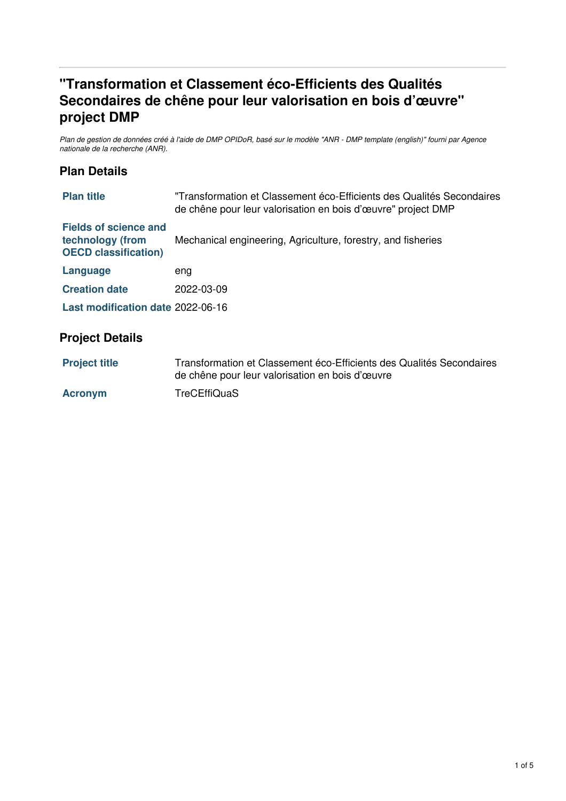# **"Transformation et Classement éco-Efficients des Qualités Secondaires de chêne pour leur valorisation en bois d'œuvre" project DMP**

Plan de gestion de données créé à l'aide de DMP OPIDoR, basé sur le modèle "ANR - DMP template (english)" fourni par Agence *nationale de la recherche (ANR).*

## **Plan Details**

| <b>Plan title</b>                                                               | "Transformation et Classement éco-Efficients des Qualités Secondaires<br>de chêne pour leur valorisation en bois d'œuvre" project DMP |  |
|---------------------------------------------------------------------------------|---------------------------------------------------------------------------------------------------------------------------------------|--|
| <b>Fields of science and</b><br>technology (from<br><b>OECD classification)</b> | Mechanical engineering, Agriculture, forestry, and fisheries                                                                          |  |
| Language                                                                        | eng                                                                                                                                   |  |
| <b>Creation date</b>                                                            | 2022-03-09                                                                                                                            |  |
| Last modification date 2022-06-16                                               |                                                                                                                                       |  |
|                                                                                 |                                                                                                                                       |  |

## **Project Details**

| <b>Project title</b> | Transformation et Classement éco-Efficients des Qualités Secondaires |
|----------------------|----------------------------------------------------------------------|
|                      | de chêne pour leur valorisation en bois d'œuvre                      |

Acronym TreCEffiQuaS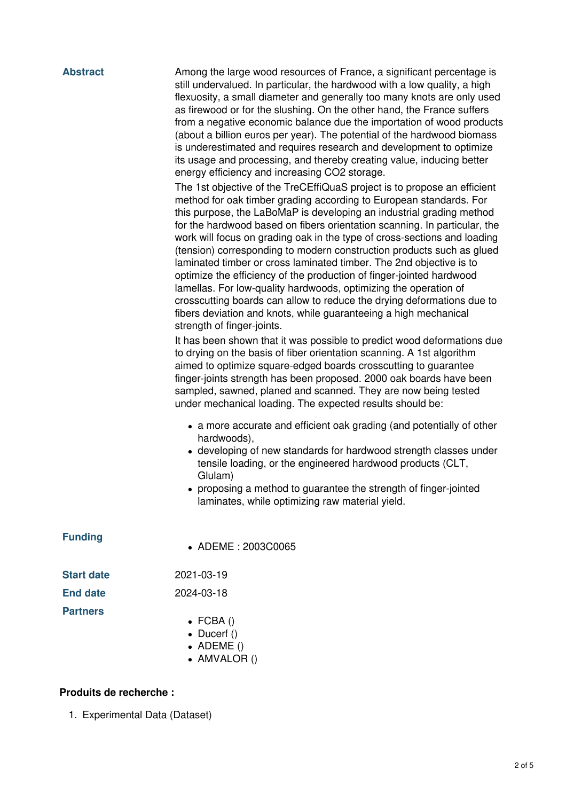| <b>Abstract</b>   | Among the large wood resources of France, a significant percentage is<br>still undervalued. In particular, the hardwood with a low quality, a high<br>flexuosity, a small diameter and generally too many knots are only used<br>as firewood or for the slushing. On the other hand, the France suffers<br>from a negative economic balance due the importation of wood products<br>(about a billion euros per year). The potential of the hardwood biomass<br>is underestimated and requires research and development to optimize<br>its usage and processing, and thereby creating value, inducing better<br>energy efficiency and increasing CO2 storage.<br>The 1st objective of the TreCEffiQuaS project is to propose an efficient<br>method for oak timber grading according to European standards. For<br>this purpose, the LaBoMaP is developing an industrial grading method<br>for the hardwood based on fibers orientation scanning. In particular, the<br>work will focus on grading oak in the type of cross-sections and loading<br>(tension) corresponding to modern construction products such as glued<br>laminated timber or cross laminated timber. The 2nd objective is to<br>optimize the efficiency of the production of finger-jointed hardwood<br>lamellas. For low-quality hardwoods, optimizing the operation of<br>crosscutting boards can allow to reduce the drying deformations due to<br>fibers deviation and knots, while guaranteeing a high mechanical<br>strength of finger-joints.<br>It has been shown that it was possible to predict wood deformations due<br>to drying on the basis of fiber orientation scanning. A 1st algorithm<br>aimed to optimize square-edged boards crosscutting to guarantee<br>finger-joints strength has been proposed. 2000 oak boards have been<br>sampled, sawned, planed and scanned. They are now being tested<br>under mechanical loading. The expected results should be:<br>• a more accurate and efficient oak grading (and potentially of other<br>hardwoods),<br>• developing of new standards for hardwood strength classes under<br>tensile loading, or the engineered hardwood products (CLT,<br>Glulam)<br>• proposing a method to guarantee the strength of finger-jointed |  |
|-------------------|----------------------------------------------------------------------------------------------------------------------------------------------------------------------------------------------------------------------------------------------------------------------------------------------------------------------------------------------------------------------------------------------------------------------------------------------------------------------------------------------------------------------------------------------------------------------------------------------------------------------------------------------------------------------------------------------------------------------------------------------------------------------------------------------------------------------------------------------------------------------------------------------------------------------------------------------------------------------------------------------------------------------------------------------------------------------------------------------------------------------------------------------------------------------------------------------------------------------------------------------------------------------------------------------------------------------------------------------------------------------------------------------------------------------------------------------------------------------------------------------------------------------------------------------------------------------------------------------------------------------------------------------------------------------------------------------------------------------------------------------------------------------------------------------------------------------------------------------------------------------------------------------------------------------------------------------------------------------------------------------------------------------------------------------------------------------------------------------------------------------------------------------------------------------------------------------------------------------------------------------------------------|--|
|                   | laminates, while optimizing raw material yield.                                                                                                                                                                                                                                                                                                                                                                                                                                                                                                                                                                                                                                                                                                                                                                                                                                                                                                                                                                                                                                                                                                                                                                                                                                                                                                                                                                                                                                                                                                                                                                                                                                                                                                                                                                                                                                                                                                                                                                                                                                                                                                                                                                                                                |  |
| <b>Funding</b>    | • ADEME: 2003C0065                                                                                                                                                                                                                                                                                                                                                                                                                                                                                                                                                                                                                                                                                                                                                                                                                                                                                                                                                                                                                                                                                                                                                                                                                                                                                                                                                                                                                                                                                                                                                                                                                                                                                                                                                                                                                                                                                                                                                                                                                                                                                                                                                                                                                                             |  |
| <b>Start date</b> | 2021-03-19                                                                                                                                                                                                                                                                                                                                                                                                                                                                                                                                                                                                                                                                                                                                                                                                                                                                                                                                                                                                                                                                                                                                                                                                                                                                                                                                                                                                                                                                                                                                                                                                                                                                                                                                                                                                                                                                                                                                                                                                                                                                                                                                                                                                                                                     |  |
| <b>End date</b>   | 2024-03-18                                                                                                                                                                                                                                                                                                                                                                                                                                                                                                                                                                                                                                                                                                                                                                                                                                                                                                                                                                                                                                                                                                                                                                                                                                                                                                                                                                                                                                                                                                                                                                                                                                                                                                                                                                                                                                                                                                                                                                                                                                                                                                                                                                                                                                                     |  |
| <b>Partners</b>   | $\bullet$ FCBA()<br>• Ducerf $()$<br>$\bullet$ ADEME()<br>• AMVALOR ()                                                                                                                                                                                                                                                                                                                                                                                                                                                                                                                                                                                                                                                                                                                                                                                                                                                                                                                                                                                                                                                                                                                                                                                                                                                                                                                                                                                                                                                                                                                                                                                                                                                                                                                                                                                                                                                                                                                                                                                                                                                                                                                                                                                         |  |

#### **Produits de recherche :**

1. Experimental Data (Dataset)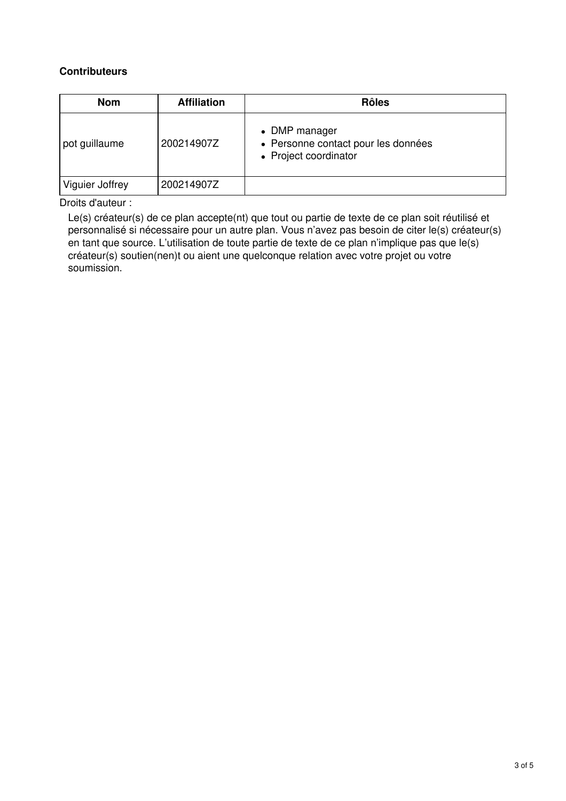#### **Contributeurs**

| <b>Nom</b>      | <b>Affiliation</b> | <b>Rôles</b>                                                                  |
|-----------------|--------------------|-------------------------------------------------------------------------------|
| pot guillaume   | 200214907Z         | • DMP manager<br>• Personne contact pour les données<br>• Project coordinator |
| Viguier Joffrey | 200214907Z         |                                                                               |

Droits d'auteur :

Le(s) créateur(s) de ce plan accepte(nt) que tout ou partie de texte de ce plan soit réutilisé et personnalisé si nécessaire pour un autre plan. Vous n'avez pas besoin de citer le(s) créateur(s) en tant que source. L'utilisation de toute partie de texte de ce plan n'implique pas que le(s) créateur(s) soutien(nen)t ou aient une quelconque relation avec votre projet ou votre soumission.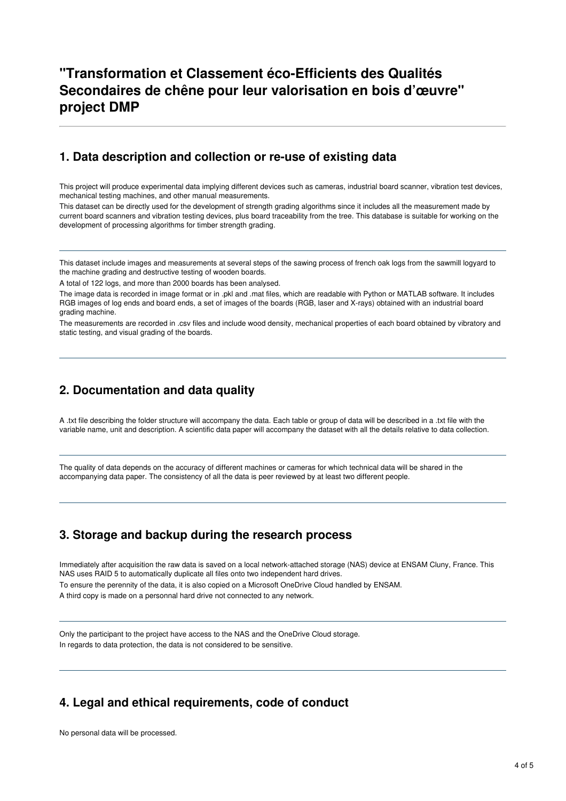## **"Transformation et Classement éco-Efficients des Qualités Secondaires de chêne pour leur valorisation en bois d'œuvre" project DMP**

#### **1. Data description and collection or re-use of existing data**

This project will produce experimental data implying different devices such as cameras, industrial board scanner, vibration test devices, mechanical testing machines, and other manual measurements.

This dataset can be directly used for the development of strength grading algorithms since it includes all the measurement made by current board scanners and vibration testing devices, plus board traceability from the tree. This database is suitable for working on the development of processing algorithms for timber strength grading.

This dataset include images and measurements at several steps of the sawing process of french oak logs from the sawmill logyard to the machine grading and destructive testing of wooden boards.

A total of 122 logs, and more than 2000 boards has been analysed.

The image data is recorded in image format or in .pkl and .mat files, which are readable with Python or MATLAB software. It includes RGB images of log ends and board ends, a set of images of the boards (RGB, laser and X-rays) obtained with an industrial board grading machine.

The measurements are recorded in .csv files and include wood density, mechanical properties of each board obtained by vibratory and static testing, and visual grading of the boards.

### **2. Documentation and data quality**

A .txt file describing the folder structure will accompany the data. Each table or group of data will be described in a .txt file with the variable name, unit and description. A scientific data paper will accompany the dataset with all the details relative to data collection.

The quality of data depends on the accuracy of different machines or cameras for which technical data will be shared in the accompanying data paper. The consistency of all the data is peer reviewed by at least two different people.

## **3. Storage and backup during the research process**

Immediately after acquisition the raw data is saved on a local network-attached storage (NAS) device at ENSAM Cluny, France. This NAS uses RAID 5 to automatically duplicate all files onto two independent hard drives. To ensure the perennity of the data, it is also copied on a Microsoft OneDrive Cloud handled by ENSAM. A third copy is made on a personnal hard drive not connected to any network.

Only the participant to the project have access to the NAS and the OneDrive Cloud storage. In regards to data protection, the data is not considered to be sensitive.

## **4. Legal and ethical requirements, code of conduct**

No personal data will be processed.